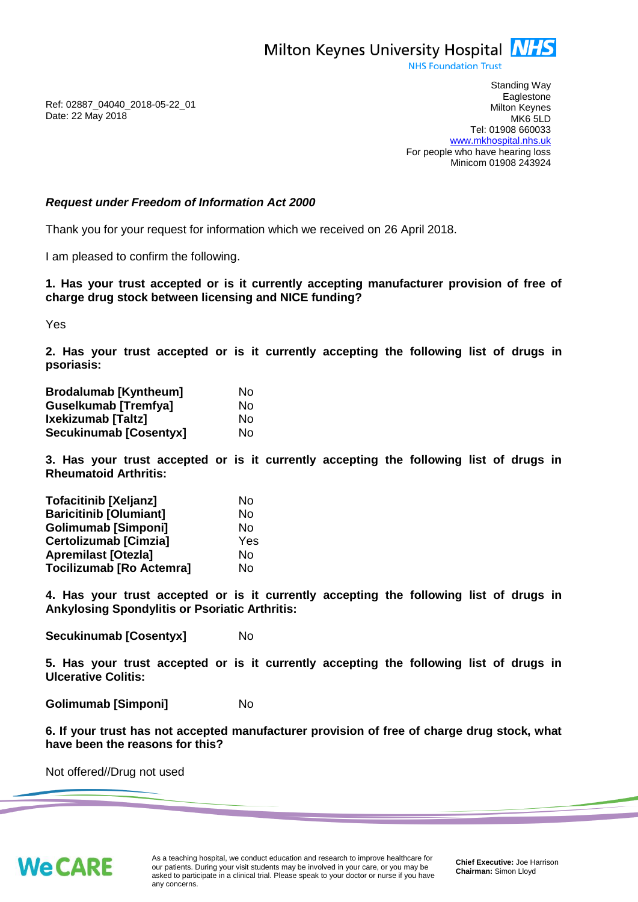Milton Keynes University Hospital **NHS** 

**NHS Foundation Trust** 

Ref: 02887\_04040\_2018-05-22\_01 Date: 22 May 2018

Standing Way **Eaglestone** Milton Keynes MK6 5LD Tel: 01908 660033 [www.mkhospital.nhs.uk](http://www.mkhospital.nhs.uk/) For people who have hearing loss Minicom 01908 243924

## *Request under Freedom of Information Act 2000*

Thank you for your request for information which we received on 26 April 2018.

I am pleased to confirm the following.

**1. Has your trust accepted or is it currently accepting manufacturer provision of free of charge drug stock between licensing and NICE funding?**

Yes

**2. Has your trust accepted or is it currently accepting the following list of drugs in psoriasis:** 

| <b>Brodalumab [Kyntheum]</b> | Nο |
|------------------------------|----|
| <b>Guselkumab [Tremfya]</b>  | No |
| Ixekizumab [Taltz]           | No |
| Secukinumab [Cosentyx]       | No |

**3. Has your trust accepted or is it currently accepting the following list of drugs in Rheumatoid Arthritis:** 

| <b>Tofacitinib [Xeljanz]</b>    | No        |
|---------------------------------|-----------|
| <b>Baricitinib [Olumiant]</b>   | <b>No</b> |
| <b>Golimumab [Simponi]</b>      | No        |
| <b>Certolizumab [Cimzia]</b>    | Yes       |
| <b>Apremilast [Otezla]</b>      | No        |
| <b>Tocilizumab [Ro Actemra]</b> | No        |

**4. Has your trust accepted or is it currently accepting the following list of drugs in Ankylosing Spondylitis or Psoriatic Arthritis:** 

**Secukinumab [Cosentyx]** No

**5. Has your trust accepted or is it currently accepting the following list of drugs in Ulcerative Colitis:** 

**Golimumab [Simponi]** No

**6. If your trust has not accepted manufacturer provision of free of charge drug stock, what have been the reasons for this?** 

Not offered//Drug not used